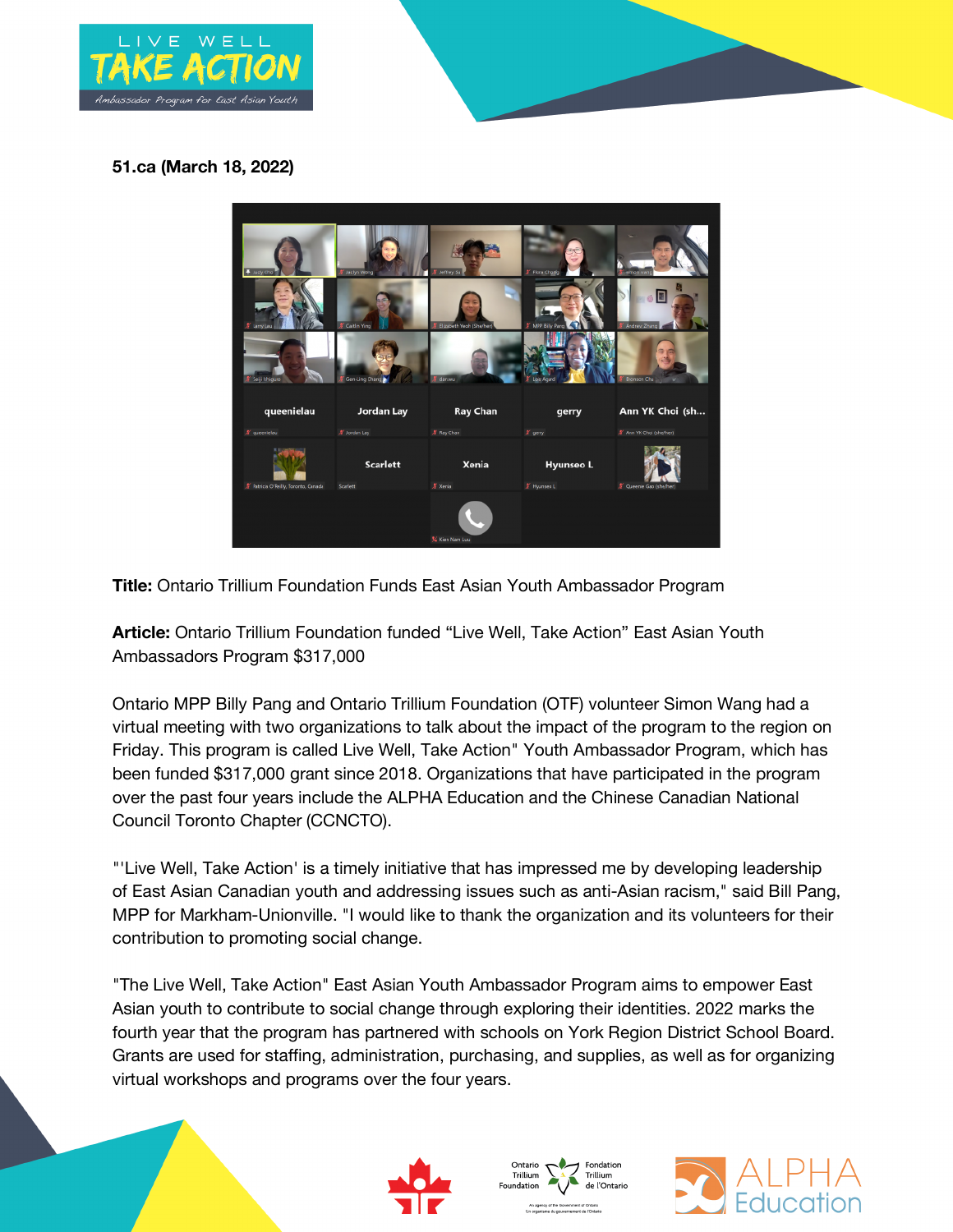

## **51.ca (March 18, 2022)**



**Title:** Ontario Trillium Foundation Funds East Asian Youth Ambassador Program

**Article:** Ontario Trillium Foundation funded "Live Well, Take Action" East Asian Youth Ambassadors Program \$317,000

Ontario MPP Billy Pang and Ontario Trillium Foundation (OTF) volunteer Simon Wang had a virtual meeting with two organizations to talk about the impact of the program to the region on Friday. This program is called Live Well, Take Action" Youth Ambassador Program, which has been funded \$317,000 grant since 2018. Organizations that have participated in the program over the past four years include the ALPHA Education and the Chinese Canadian National Council Toronto Chapter (CCNCTO).

"'Live Well, Take Action' is a timely initiative that has impressed me by developing leadership of East Asian Canadian youth and addressing issues such as anti-Asian racism," said Bill Pang, MPP for Markham-Unionville. "I would like to thank the organization and its volunteers for their contribution to promoting social change.

"The Live Well, Take Action" East Asian Youth Ambassador Program aims to empower East Asian youth to contribute to social change through exploring their identities. 2022 marks the fourth year that the program has partnered with schools on York Region District School Board. Grants are used for staffing, administration, purchasing, and supplies, as well as for organizing virtual workshops and programs over the four years.